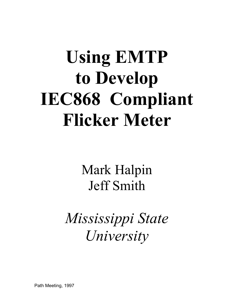# **Using EMTP to Develop IEC868 Compliant Flicker Meter**

Mark Halpin Jeff Smith

*Mississippi State University*

Path Meeting, 1997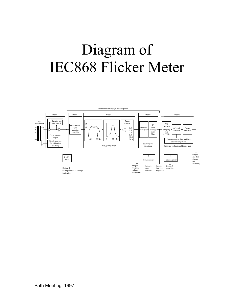## Diagram of IEC868 Flicker Meter

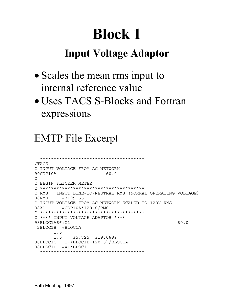#### **Input Voltage Adaptor**

- Scales the mean rms input to internal reference value
- Uses TACS S-Blocks and Fortran expressions

#### **EMTP File Excerpt**

```
/TACS
C INPUT VOLTAGE FROM AC NETWORK
90CDP10A
                  60.0
\mathcal{C}C BEGIN FLICKER METER
C RMS = INPUT LINE-TO-NEUTRAL RMS (NORMAL OPERATING VOLTAGE)
      = 7199.5588RMS
C INPUT VOLTAGE FROM AC NETWORK SCALED TO 120V RMS
      =CDP10A*120.0/RMS
88X1
C **** INPUT VOLTAGE ADAPTOR ****
98BLOC1A66+X1
                                     60.0
2BLOC1B +BLOC1A
    1.035.725 319.0689
     1.088BLOC1C = 1 - (BLOC1B-120.0)/BLOC1A88BLOC1D =X1*BLOC1C
```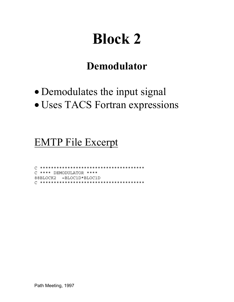#### **Demodulator**

- Demodulates the input signal
- · Uses TACS Fortran expressions

#### **EMTP File Excerpt**

C \*\*\*\* DEMODULATOR \*\*\*\* 88BLOCK2 =BLOC1D\*BLOC1D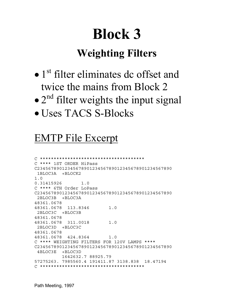#### **Weighting Filters**

- $\bullet$  1<sup>st</sup> filter eliminates dc offset and twice the mains from Block 2
- $\bullet$  2<sup>nd</sup> filter weights the input signal
- Uses TACS S-Blocks

#### EMTP File Excerpt

```
C **************************************
C **** 1ST ORDER HiPass
C2345678901234567890123456789012345678901234567890
 1BLOC3A +BLOCK2
1.0
0.31415926 1.0
C **** 6TH Order LoPass
C2345678901234567890123456789012345678901234567890
 2BLOC3B +BLOC3A
48361.0678
48361.0678 113.8346 1.0
 2BLOC3C +BLOC3B
48361.0678
48361.0678 311.0018 1.0
 2BLOC3D +BLOC3C
48361.0678
48361.0678 424.8364 1.0
C **** WEIGHTING FILTERS FOR 120V LAMPS ****
C2345678901234567890123456789012345678901234567890
 4BLOC3E +BLOC3D
          1642632.7 88925.79
57275263. 7985560.4 191411.87 3138.838 18.47194
C **************************************
```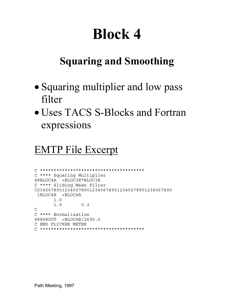#### **Squaring and Smoothing**

- Squaring multiplier and low pass filter
- Uses TACS S-Blocks and Fortran expressions

#### EMTP File Excerpt

```
C **************************************
C **** Squaring Multiplier
88BLOC4A =BLOC3E*BLOC3E
C **** Sliding Mean Filter
C2345678901234567890123456789012345678901234567890
 1BLOC4B +BLOC4A
       1.0
       1.0 0.3
C
C **** Normalization
88868OUT =BLOC4B/2690.0
C END FLICKER METER
C **************************************
```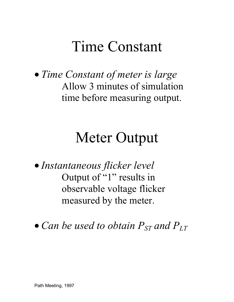### Time Constant

• *Time Constant of meter is large* Allow 3 minutes of simulation time before measuring output.

### Meter Output

• *Instantaneous flicker level* Output of "1" results in observable voltage flicker measured by the meter.

• *Can be used to obtain*  $P_{ST}$  and  $P_{LT}$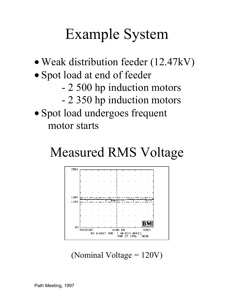### Example System

- Weak distribution feeder (12.47kV)
- Spot load at end of feeder
	- 2 500 hp induction motors
	- 2 350 hp induction motors
- Spot load undergoes frequent motor starts

### Measured RMS Voltage



(Nominal Voltage  $= 120V$ )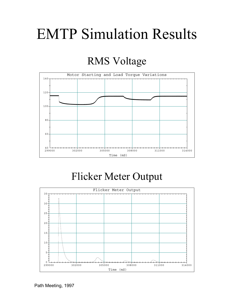### EMTP Simulation Results

#### RMS Voltage



#### Flicker Meter Output